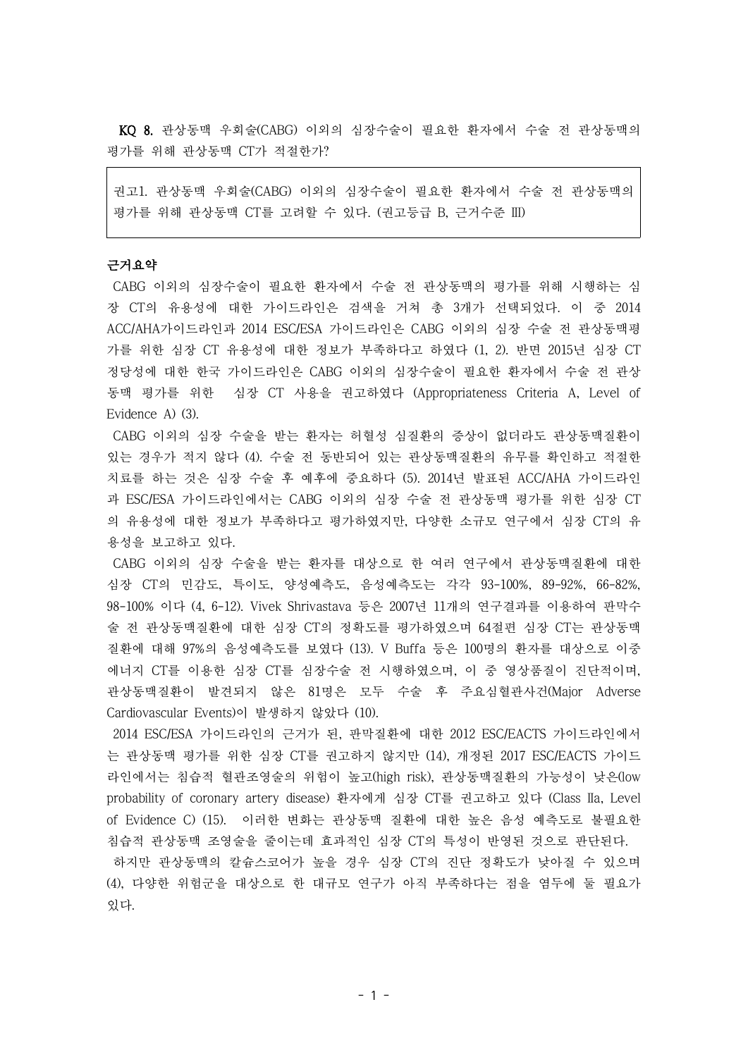KQ 8. 관상동맥 우회술(CABG) 이외의 심장수술이 필요한 환자에서 수술 전 관상동맥의 평가를 위해 관상동맥 CT가 적절한가?

권고1. 관상동맥 우회술(CABG) 이외의 심장수술이 필요한 환자에서 수술 전 관상동맥의 평가를 위해 관상동맥 CT를 고려할 수 있다. (권고등급 B, 근거수준 III)

# 근거요약

CABG 이외의 심장수술이 필요한 환자에서 수술 전 관상동맥의 평가를 위해 시행하는 심 장 CT의 유용성에 대한 가이드라인은 검색을 거쳐 총 3개가 선택되었다. 이 중 2014 ACC/AHA가이드라인과 2014 ESC/ESA 가이드라인은 CABG 이외의 심장 수술 전 관상동맥평 가를 위한 심장 CT 유용성에 대한 정보가 부족하다고 하였다 (1, 2). 반면 2015년 심장 CT 정당성에 대한 한국 가이드라인은 CABG 이외의 심장수술이 필요한 환자에서 수술 전 관상 동맥 평가를 위한 심장 CT 사용을 권고하였다 (Appropriateness Criteria A, Level of Evidence A) (3).

CABG 이외의 심장 수술을 받는 환자는 허혈성 심질환의 증상이 없더라도 관상동맥질환이 있는 경우가 적지 않다 (4). 수술 전 동반되어 있는 관상동맥질환의 유무를 확인하고 적절한 치료를 하는 것은 심장 수술 후 예후에 중요하다 (5). 2014년 발표된 ACC/AHA 가이드라인 과 ESC/ESA 가이드라인에서는 CABG 이외의 심장 수술 전 관상동맥 평가를 위한 심장 CT 의 유용성에 대한 정보가 부족하다고 평가하였지만, 다양한 소규모 연구에서 심장 CT의 유 용성을 보고하고 있다.

CABG 이외의 심장 수술을 받는 환자를 대상으로 한 여러 연구에서 관상동맥질환에 대한 심장 CT의 민감도, 특이도, 양성예측도, 음성예측도는 각각 93-100%, 89-92%, 66-82%, 98-100% 이다 (4, 6-12). Vivek Shrivastava 등은 2007년 11개의 연구결과를 이용하여 판막수 술 전 관상동맥질환에 대한 심장 CT의 정확도를 평가하였으며 64절편 심장 CT는 관상동맥 질환에 대해 97%의 음성예측도를 보였다 (13). V Buffa 등은 100명의 환자를 대상으로 이중 에너지 CT를 이용한 심장 CT를 심장수술 전 시행하였으며, 이 중 영상품질이 진단적이며, 관상동맥질환이 발견되지 않은 81명은 모두 수술 후 주요심혈관사건(Major Adverse Cardiovascular Events)이 발생하지 않았다 (10).

2014 ESC/ESA 가이드라인의 근거가 된, 판막질환에 대한 2012 ESC/EACTS 가이드라인에서 는 관상동맥 평가를 위한 심장 CT를 권고하지 않지만 (14), 개정된 2017 ESC/EACTS 가이드 라인에서는 침습적 혈관조영술의 위험이 높고(high risk), 관상동맥질환의 가능성이 낮은(low probability of coronary artery disease) 환자에게 심장 CT를 권고하고 있다 (Class IIa, Level of Evidence C) (15). 이러한 변화는 관상동맥 질환에 대한 높은 음성 예측도로 불필요한 침습적 관상동맥 조영술을 줄이는데 효과적인 심장 CT의 특성이 반영된 것으로 판단된다.

하지만 관상동맥의 칼슘스코어가 높을 경우 심장 CT의 진단 정확도가 낮아질 수 있으며 (4), 다양한 위험군을 대상으로 한 대규모 연구가 아직 부족하다는 점을 염두에 둘 필요가 있다.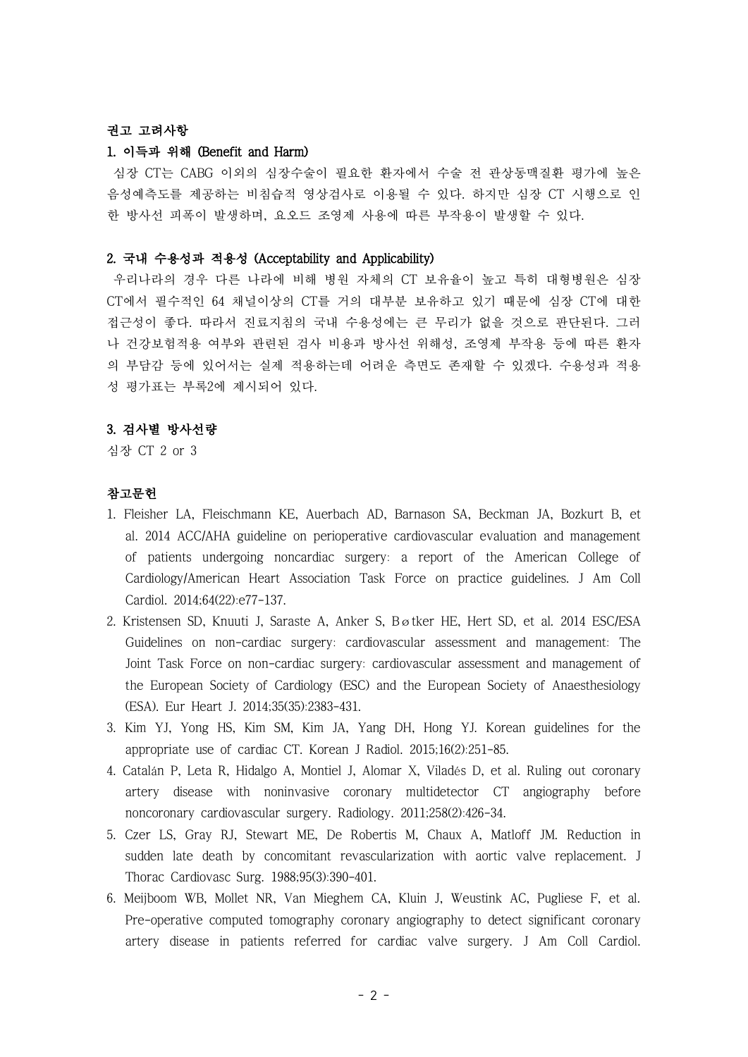# 권고 고려사항

#### 1. 이득과 위해 (Benefit and Harm)

심장 CT는 CABG 이외의 심장수술이 필요한 환자에서 수술 전 관상동맥질환 평가에 높은 음성예측도를 제공하는 비침습적 영상검사로 이용될 수 있다. 하지만 심장 CT 시행으로 인 한 방사선 피폭이 발생하며, 요오드 조영제 사용에 따른 부작용이 발생할 수 있다.

### 2. 국내 수용성과 적용성 (Acceptability and Applicability)

우리나라의 경우 다른 나라에 비해 병원 자체의 CT 보유율이 높고 특히 대형병원은 심장 CT에서 필수적인 64 채널이상의 CT를 거의 대부분 보유하고 있기 때문에 심장 CT에 대한 접근성이 좋다. 따라서 진료지침의 국내 수용성에는 큰 무리가 없을 것으로 판단된다. 그러 나 건강보험적용 여부와 관련된 검사 비용과 방사선 위해성, 조영제 부작용 등에 따른 환자 의 부담감 등에 있어서는 실제 적용하는데 어려운 측면도 존재할 수 있겠다. 수용성과 적용 성 평가표는 부록2에 제시되어 있다.

## 3. 검사별 방사선량

심장 CT 2 or 3

## 참고문헌

- 1. Fleisher LA, Fleischmann KE, Auerbach AD, Barnason SA, Beckman JA, Bozkurt B, et al. 2014 ACC/AHA guideline on perioperative cardiovascular evaluation and management of patients undergoing noncardiac surgery: a report of the American College of Cardiology/American Heart Association Task Force on practice guidelines. J Am Coll Cardiol. 2014;64(22):e77-137.
- 2. Kristensen SD, Knuuti J, Saraste A, Anker S, Bøtker HE, Hert SD, et al. 2014 ESC/ESA Guidelines on non-cardiac surgery: cardiovascular assessment and management: The Joint Task Force on non-cardiac surgery: cardiovascular assessment and management of the European Society of Cardiology (ESC) and the European Society of Anaesthesiology (ESA). Eur Heart J. 2014;35(35):2383-431.
- 3. Kim YJ, Yong HS, Kim SM, Kim JA, Yang DH, Hong YJ. Korean guidelines for the appropriate use of cardiac CT. Korean J Radiol. 2015;16(2):251-85.
- 4. Catalán P, Leta R, Hidalgo A, Montiel J, Alomar X, Viladés D, et al. Ruling out coronary artery disease with noninvasive coronary multidetector CT angiography before noncoronary cardiovascular surgery. Radiology. 2011;258(2):426-34.
- 5. Czer LS, Gray RJ, Stewart ME, De Robertis M, Chaux A, Matloff JM. Reduction in sudden late death by concomitant revascularization with aortic valve replacement. J Thorac Cardiovasc Surg. 1988;95(3):390-401.
- 6. Meijboom WB, Mollet NR, Van Mieghem CA, Kluin J, Weustink AC, Pugliese F, et al. Pre-operative computed tomography coronary angiography to detect significant coronary artery disease in patients referred for cardiac valve surgery. J Am Coll Cardiol.